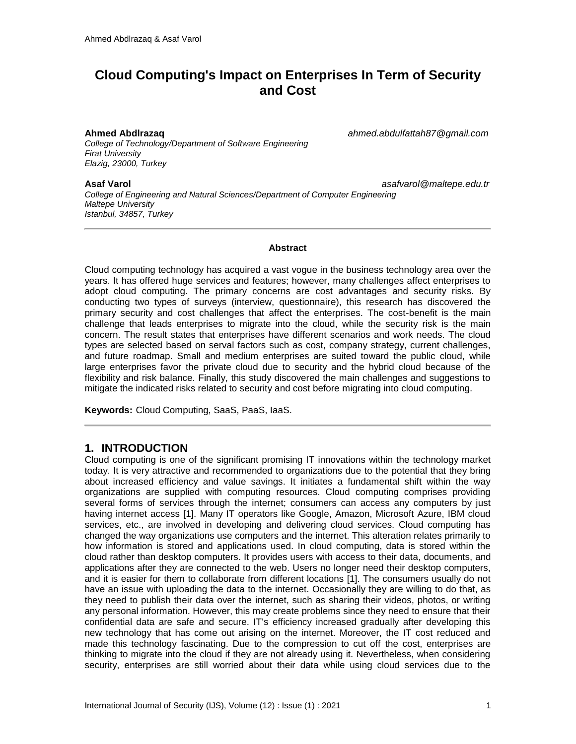# **Cloud Computing's Impact on Enterprises In Term of Security and Cost**

*College of Technology/Department of Software Engineering Firat University Elazig, 23000, Turkey*

**Ahmed Abdlrazaq** *ahmed.abdulfattah87@gmail.com*

**Asaf Varol** *asafvarol@maltepe.edu.tr College of Engineering and Natural Sciences/Department of Computer Engineering Maltepe University Istanbul, 34857, Turkey*

#### **Abstract**

Cloud computing technology has acquired a vast vogue in the business technology area over the years. It has offered huge services and features; however, many challenges affect enterprises to adopt cloud computing. The primary concerns are cost advantages and security risks. By conducting two types of surveys (interview, questionnaire), this research has discovered the primary security and cost challenges that affect the enterprises. The cost-benefit is the main challenge that leads enterprises to migrate into the cloud, while the security risk is the main concern. The result states that enterprises have different scenarios and work needs. The cloud types are selected based on serval factors such as cost, company strategy, current challenges, and future roadmap. Small and medium enterprises are suited toward the public cloud, while large enterprises favor the private cloud due to security and the hybrid cloud because of the flexibility and risk balance. Finally, this study discovered the main challenges and suggestions to mitigate the indicated risks related to security and cost before migrating into cloud computing.

**Keywords:** Cloud Computing, SaaS, PaaS, IaaS.

## **1. INTRODUCTION**

Cloud computing is one of the significant promising IT innovations within the technology market today. It is very attractive and recommended to organizations due to the potential that they bring about increased efficiency and value savings. It initiates a fundamental shift within the way organizations are supplied with computing resources. Cloud computing comprises providing several forms of services through the internet; consumers can access any computers by just having internet access [1]. Many IT operators like Google, Amazon, Microsoft Azure, IBM cloud services, etc., are involved in developing and delivering cloud services. Cloud computing has changed the way organizations use computers and the internet. This alteration relates primarily to how information is stored and applications used. In cloud computing, data is stored within the cloud rather than desktop computers. It provides users with access to their data, documents, and applications after they are connected to the web. Users no longer need their desktop computers, and it is easier for them to collaborate from different locations [1]. The consumers usually do not have an issue with uploading the data to the internet. Occasionally they are willing to do that, as they need to publish their data over the internet, such as sharing their videos, photos, or writing any personal information. However, this may create problems since they need to ensure that their confidential data are safe and secure. IT's efficiency increased gradually after developing this new technology that has come out arising on the internet. Moreover, the IT cost reduced and made this technology fascinating. Due to the compression to cut off the cost, enterprises are thinking to migrate into the cloud if they are not already using it. Nevertheless, when considering security, enterprises are still worried about their data while using cloud services due to the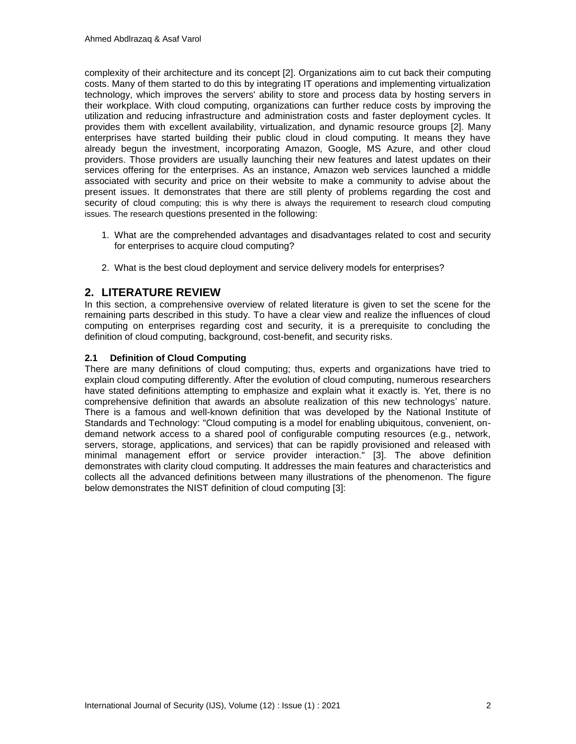complexity of their architecture and its concept [2]. Organizations aim to cut back their computing costs. Many of them started to do this by integrating IT operations and implementing virtualization technology, which improves the servers' ability to store and process data by hosting servers in their workplace. With cloud computing, organizations can further reduce costs by improving the utilization and reducing infrastructure and administration costs and faster deployment cycles. It provides them with excellent availability, virtualization, and dynamic resource groups [2]. Many enterprises have started building their public cloud in cloud computing. It means they have already begun the investment, incorporating Amazon, Google, MS Azure, and other cloud providers. Those providers are usually launching their new features and latest updates on their services offering for the enterprises. As an instance, Amazon web services launched a middle associated with security and price on their website to make a community to advise about the present issues. It demonstrates that there are still plenty of problems regarding the cost and security of cloud computing; this is why there is always the requirement to research cloud computing issues. The research questions presented in the following:

- 1. What are the comprehended advantages and disadvantages related to cost and security for enterprises to acquire cloud computing?
- 2. What is the best cloud deployment and service delivery models for enterprises?

## **2. LITERATURE REVIEW**

In this section, a comprehensive overview of related literature is given to set the scene for the remaining parts described in this study. To have a clear view and realize the influences of cloud computing on enterprises regarding cost and security, it is a prerequisite to concluding the definition of cloud computing, background, cost-benefit, and security risks.

## **2.1 Definition of Cloud Computing**

There are many definitions of cloud computing; thus, experts and organizations have tried to explain cloud computing differently. After the evolution of cloud computing, numerous researchers have stated definitions attempting to emphasize and explain what it exactly is. Yet, there is no comprehensive definition that awards an absolute realization of this new technologys' nature. There is a famous and well-known definition that was developed by the National Institute of Standards and Technology: "Cloud computing is a model for enabling ubiquitous, convenient, ondemand network access to a shared pool of configurable computing resources (e.g., network, servers, storage, applications, and services) that can be rapidly provisioned and released with minimal management effort or service provider interaction." [3]. The above definition demonstrates with clarity cloud computing. It addresses the main features and characteristics and collects all the advanced definitions between many illustrations of the phenomenon. The figure below demonstrates the NIST definition of cloud computing [3]: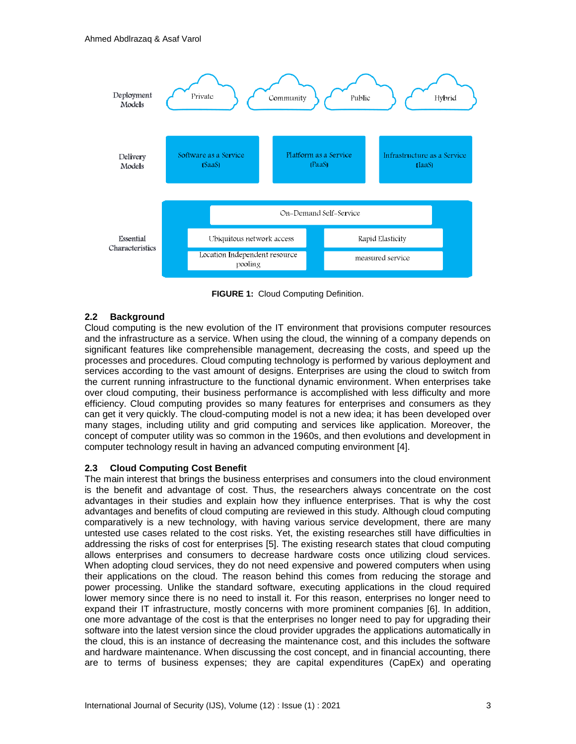

**FIGURE 1:** Cloud Computing Definition.

## **2.2 Background**

Cloud computing is the new evolution of the IT environment that provisions computer resources and the infrastructure as a service. When using the cloud, the winning of a company depends on significant features like comprehensible management, decreasing the costs, and speed up the processes and procedures. Cloud computing technology is performed by various deployment and services according to the vast amount of designs. Enterprises are using the cloud to switch from the current running infrastructure to the functional dynamic environment. When enterprises take over cloud computing, their business performance is accomplished with less difficulty and more efficiency. Cloud computing provides so many features for enterprises and consumers as they can get it very quickly. The cloud-computing model is not a new idea; it has been developed over many stages, including utility and grid computing and services like application. Moreover, the concept of computer utility was so common in the 1960s, and then evolutions and development in computer technology result in having an advanced computing environment [4].

## **2.3 Cloud Computing Cost Benefit**

The main interest that brings the business enterprises and consumers into the cloud environment is the benefit and advantage of cost. Thus, the researchers always concentrate on the cost advantages in their studies and explain how they influence enterprises. That is why the cost advantages and benefits of cloud computing are reviewed in this study. Although cloud computing comparatively is a new technology, with having various service development, there are many untested use cases related to the cost risks. Yet, the existing researches still have difficulties in addressing the risks of cost for enterprises [5]. The existing research states that cloud computing allows enterprises and consumers to decrease hardware costs once utilizing cloud services. When adopting cloud services, they do not need expensive and powered computers when using their applications on the cloud. The reason behind this comes from reducing the storage and power processing. Unlike the standard software, executing applications in the cloud required lower memory since there is no need to install it. For this reason, enterprises no longer need to expand their IT infrastructure, mostly concerns with more prominent companies [6]. In addition, one more advantage of the cost is that the enterprises no longer need to pay for upgrading their software into the latest version since the cloud provider upgrades the applications automatically in the cloud, this is an instance of decreasing the maintenance cost, and this includes the software and hardware maintenance. When discussing the cost concept, and in financial accounting, there are to terms of business expenses; they are capital expenditures (CapEx) and operating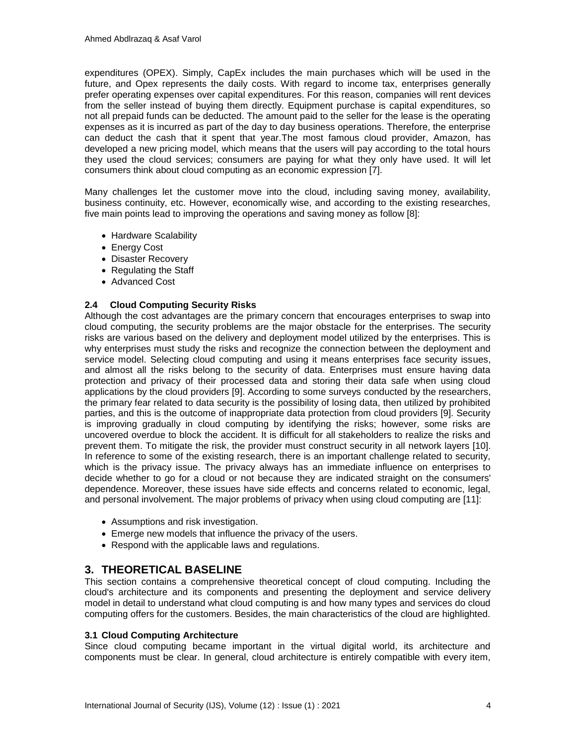expenditures (OPEX). Simply, CapEx includes the main purchases which will be used in the future, and Opex represents the daily costs. With regard to income tax, enterprises generally prefer operating expenses over capital expenditures. For this reason, companies will rent devices from the seller instead of buying them directly. Equipment purchase is capital expenditures, so not all prepaid funds can be deducted. The amount paid to the seller for the lease is the operating expenses as it is incurred as part of the day to day business operations. Therefore, the enterprise can deduct the cash that it spent that year.The most famous cloud provider, Amazon, has developed a new pricing model, which means that the users will pay according to the total hours they used the cloud services; consumers are paying for what they only have used. It will let consumers think about cloud computing as an economic expression [7].

Many challenges let the customer move into the cloud, including saving money, availability, business continuity, etc. However, economically wise, and according to the existing researches, five main points lead to improving the operations and saving money as follow [8]:

- Hardware Scalability
- Energy Cost
- Disaster Recovery
- Regulating the Staff
- Advanced Cost

## **2.4 Cloud Computing Security Risks**

Although the cost advantages are the primary concern that encourages enterprises to swap into cloud computing, the security problems are the major obstacle for the enterprises. The security risks are various based on the delivery and deployment model utilized by the enterprises. This is why enterprises must study the risks and recognize the connection between the deployment and service model. Selecting cloud computing and using it means enterprises face security issues, and almost all the risks belong to the security of data. Enterprises must ensure having data protection and privacy of their processed data and storing their data safe when using cloud applications by the cloud providers [9]. According to some surveys conducted by the researchers, the primary fear related to data security is the possibility of losing data, then utilized by prohibited parties, and this is the outcome of inappropriate data protection from cloud providers [9]. Security is improving gradually in cloud computing by identifying the risks; however, some risks are uncovered overdue to block the accident. It is difficult for all stakeholders to realize the risks and prevent them. To mitigate the risk, the provider must construct security in all network layers [10]. In reference to some of the existing research, there is an important challenge related to security, which is the privacy issue. The privacy always has an immediate influence on enterprises to decide whether to go for a cloud or not because they are indicated straight on the consumers' dependence. Moreover, these issues have side effects and concerns related to economic, legal, and personal involvement. The major problems of privacy when using cloud computing are [11]:

- Assumptions and risk investigation.
- Emerge new models that influence the privacy of the users.
- Respond with the applicable laws and regulations.

## **3. THEORETICAL BASELINE**

This section contains a comprehensive theoretical concept of cloud computing. Including the cloud's architecture and its components and presenting the deployment and service delivery model in detail to understand what cloud computing is and how many types and services do cloud computing offers for the customers. Besides, the main characteristics of the cloud are highlighted.

## **3.1 Cloud Computing Architecture**

Since cloud computing became important in the virtual digital world, its architecture and components must be clear. In general, cloud architecture is entirely compatible with every item,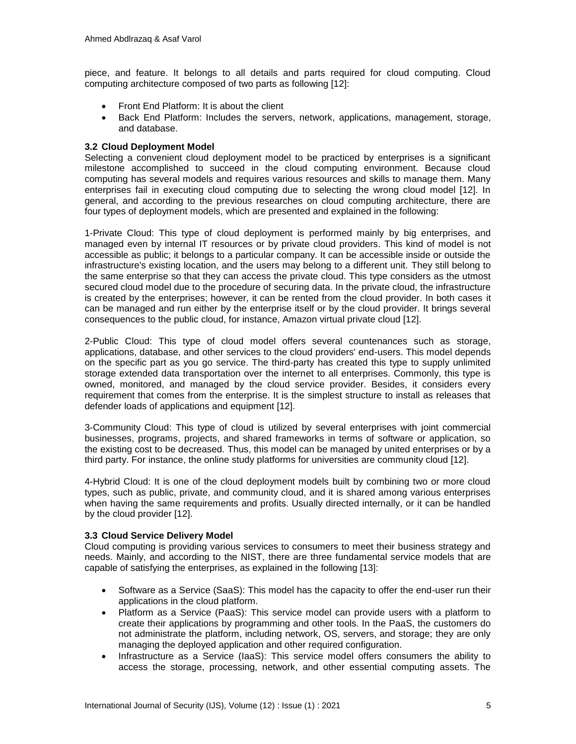piece, and feature. It belongs to all details and parts required for cloud computing. Cloud computing architecture composed of two parts as following [12]:

- Front End Platform: It is about the client
- Back End Platform: Includes the servers, network, applications, management, storage, and database.

## **3.2 Cloud Deployment Model**

Selecting a convenient cloud deployment model to be practiced by enterprises is a significant milestone accomplished to succeed in the cloud computing environment. Because cloud computing has several models and requires various resources and skills to manage them. Many enterprises fail in executing cloud computing due to selecting the wrong cloud model [12]. In general, and according to the previous researches on cloud computing architecture, there are four types of deployment models, which are presented and explained in the following:

1-Private Cloud: This type of cloud deployment is performed mainly by big enterprises, and managed even by internal IT resources or by private cloud providers. This kind of model is not accessible as public; it belongs to a particular company. It can be accessible inside or outside the infrastructure's existing location, and the users may belong to a different unit. They still belong to the same enterprise so that they can access the private cloud. This type considers as the utmost secured cloud model due to the procedure of securing data. In the private cloud, the infrastructure is created by the enterprises; however, it can be rented from the cloud provider. In both cases it can be managed and run either by the enterprise itself or by the cloud provider. It brings several consequences to the public cloud, for instance, Amazon virtual private cloud [12].

2-Public Cloud: This type of cloud model offers several countenances such as storage, applications, database, and other services to the cloud providers' end-users. This model depends on the specific part as you go service. The third-party has created this type to supply unlimited storage extended data transportation over the internet to all enterprises. Commonly, this type is owned, monitored, and managed by the cloud service provider. Besides, it considers every requirement that comes from the enterprise. It is the simplest structure to install as releases that defender loads of applications and equipment [12].

3-Community Cloud: This type of cloud is utilized by several enterprises with joint commercial businesses, programs, projects, and shared frameworks in terms of software or application, so the existing cost to be decreased. Thus, this model can be managed by united enterprises or by a third party. For instance, the online study platforms for universities are community cloud [12].

4-Hybrid Cloud: It is one of the cloud deployment models built by combining two or more cloud types, such as public, private, and community cloud, and it is shared among various enterprises when having the same requirements and profits. Usually directed internally, or it can be handled by the cloud provider [12].

## **3.3 Cloud Service Delivery Model**

Cloud computing is providing various services to consumers to meet their business strategy and needs. Mainly, and according to the NIST, there are three fundamental service models that are capable of satisfying the enterprises, as explained in the following [13]:

- Software as a Service (SaaS): This model has the capacity to offer the end-user run their applications in the cloud platform.
- Platform as a Service (PaaS): This service model can provide users with a platform to create their applications by programming and other tools. In the PaaS, the customers do not administrate the platform, including network, OS, servers, and storage; they are only managing the deployed application and other required configuration.
- Infrastructure as a Service (IaaS): This service model offers consumers the ability to access the storage, processing, network, and other essential computing assets. The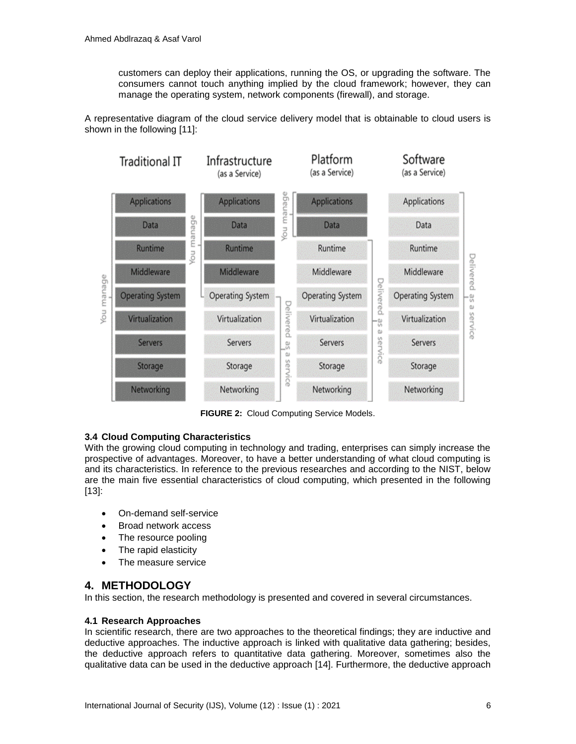customers can deploy their applications, running the OS, or upgrading the software. The consumers cannot touch anything implied by the cloud framework; however, they can manage the operating system, network components (firewall), and storage.

A representative diagram of the cloud service delivery model that is obtainable to cloud users is shown in the following [11]:



**FIGURE 2:** Cloud Computing Service Models.

## **3.4 Cloud Computing Characteristics**

With the growing cloud computing in technology and trading, enterprises can simply increase the prospective of advantages. Moreover, to have a better understanding of what cloud computing is and its characteristics. In reference to the previous researches and according to the NIST, below are the main five essential characteristics of cloud computing, which presented in the following [13]:

- On-demand self-service
- Broad network access
- The resource pooling
- The rapid elasticity
- The measure service

## **4. METHODOLOGY**

In this section, the research methodology is presented and covered in several circumstances.

## **4.1 Research Approaches**

In scientific research, there are two approaches to the theoretical findings; they are inductive and deductive approaches. The inductive approach is linked with qualitative data gathering; besides, the deductive approach refers to quantitative data gathering. Moreover, sometimes also the qualitative data can be used in the deductive approach [14]. Furthermore, the deductive approach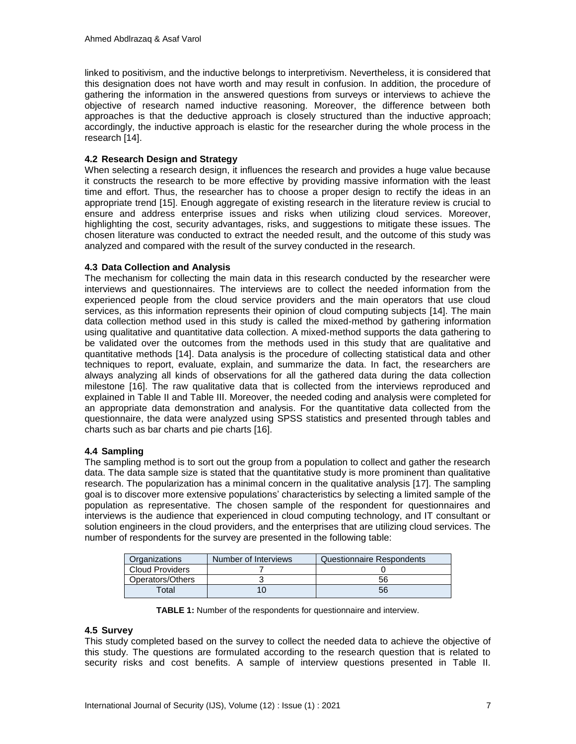linked to positivism, and the inductive belongs to interpretivism. Nevertheless, it is considered that this designation does not have worth and may result in confusion. In addition, the procedure of gathering the information in the answered questions from surveys or interviews to achieve the objective of research named inductive reasoning. Moreover, the difference between both approaches is that the deductive approach is closely structured than the inductive approach; accordingly, the inductive approach is elastic for the researcher during the whole process in the research [14].

## **4.2 Research Design and Strategy**

When selecting a research design, it influences the research and provides a huge value because it constructs the research to be more effective by providing massive information with the least time and effort. Thus, the researcher has to choose a proper design to rectify the ideas in an appropriate trend [15]. Enough aggregate of existing research in the literature review is crucial to ensure and address enterprise issues and risks when utilizing cloud services. Moreover, highlighting the cost, security advantages, risks, and suggestions to mitigate these issues. The chosen literature was conducted to extract the needed result, and the outcome of this study was analyzed and compared with the result of the survey conducted in the research.

## **4.3 Data Collection and Analysis**

The mechanism for collecting the main data in this research conducted by the researcher were interviews and questionnaires. The interviews are to collect the needed information from the experienced people from the cloud service providers and the main operators that use cloud services, as this information represents their opinion of cloud computing subjects [14]. The main data collection method used in this study is called the mixed-method by gathering information using qualitative and quantitative data collection. A mixed-method supports the data gathering to be validated over the outcomes from the methods used in this study that are qualitative and quantitative methods [14]. Data analysis is the procedure of collecting statistical data and other techniques to report, evaluate, explain, and summarize the data. In fact, the researchers are always analyzing all kinds of observations for all the gathered data during the data collection milestone [16]. The raw qualitative data that is collected from the interviews reproduced and explained in Table II and Table III. Moreover, the needed coding and analysis were completed for an appropriate data demonstration and analysis. For the quantitative data collected from the questionnaire, the data were analyzed using SPSS statistics and presented through tables and charts such as bar charts and pie charts [16].

## **4.4 Sampling**

The sampling method is to sort out the group from a population to collect and gather the research data. The data sample size is stated that the quantitative study is more prominent than qualitative research. The popularization has a minimal concern in the qualitative analysis [17]. The sampling goal is to discover more extensive populations' characteristics by selecting a limited sample of the population as representative. The chosen sample of the respondent for questionnaires and interviews is the audience that experienced in cloud computing technology, and IT consultant or solution engineers in the cloud providers, and the enterprises that are utilizing cloud services. The number of respondents for the survey are presented in the following table:

| Organizations          | Number of Interviews | Questionnaire Respondents |
|------------------------|----------------------|---------------------------|
| <b>Cloud Providers</b> |                      |                           |
| Operators/Others       |                      | 56                        |
| Total                  |                      | 56                        |

**TABLE 1:** Number of the respondents for questionnaire and interview.

## **4.5 Survey**

This study completed based on the survey to collect the needed data to achieve the objective of this study. The questions are formulated according to the research question that is related to security risks and cost benefits. A sample of interview questions presented in Table II.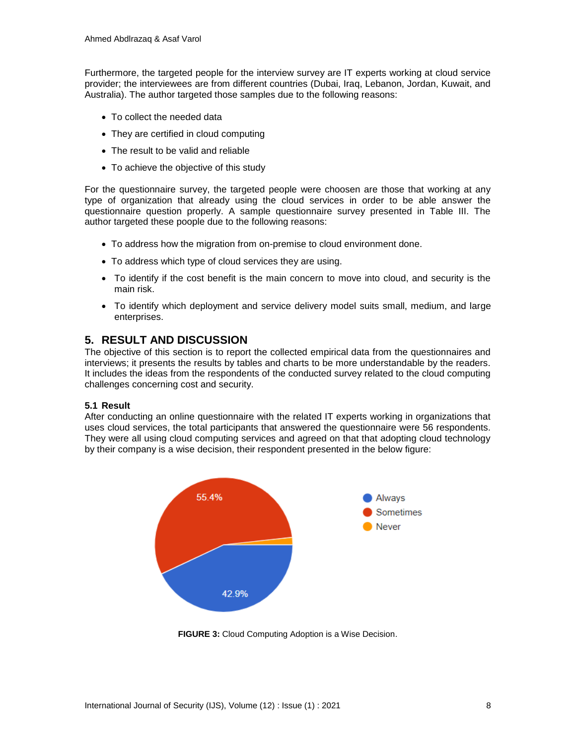Furthermore, the targeted people for the interview survey are IT experts working at cloud service provider; the interviewees are from different countries (Dubai, Iraq, Lebanon, Jordan, Kuwait, and Australia). The author targeted those samples due to the following reasons:

- To collect the needed data
- They are certified in cloud computing
- The result to be valid and reliable
- To achieve the objective of this study

For the questionnaire survey, the targeted people were choosen are those that working at any type of organization that already using the cloud services in order to be able answer the questionnaire question properly. A sample questionnaire survey presented in Table III. The author targeted these poople due to the following reasons:

- To address how the migration from on-premise to cloud environment done.
- To address which type of cloud services they are using.
- To identify if the cost benefit is the main concern to move into cloud, and security is the main risk.
- To identify which deployment and service delivery model suits small, medium, and large enterprises.

## **5. RESULT AND DISCUSSION**

The objective of this section is to report the collected empirical data from the questionnaires and interviews; it presents the results by tables and charts to be more understandable by the readers. It includes the ideas from the respondents of the conducted survey related to the cloud computing challenges concerning cost and security.

## **5.1 Result**

After conducting an online questionnaire with the related IT experts working in organizations that uses cloud services, the total participants that answered the questionnaire were 56 respondents. They were all using cloud computing services and agreed on that that adopting cloud technology by their company is a wise decision, their respondent presented in the below figure:



**FIGURE 3:** Cloud Computing Adoption is a Wise Decision.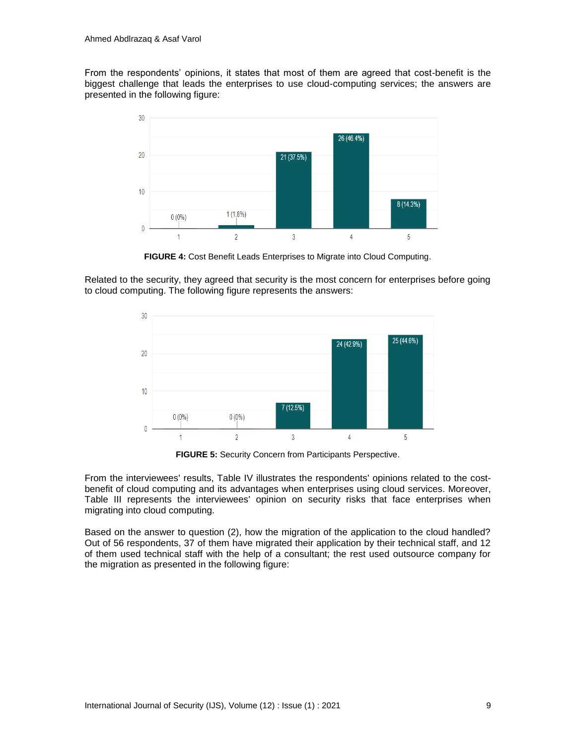From the respondents' opinions, it states that most of them are agreed that cost-benefit is the biggest challenge that leads the enterprises to use cloud-computing services; the answers are presented in the following figure:



**FIGURE 4:** Cost Benefit Leads Enterprises to Migrate into Cloud Computing.

Related to the security, they agreed that security is the most concern for enterprises before going to cloud computing. The following figure represents the answers:



**FIGURE 5:** Security Concern from Participants Perspective.

From the interviewees' results, Table IV illustrates the respondents' opinions related to the costbenefit of cloud computing and its advantages when enterprises using cloud services. Moreover, Table III represents the interviewees' opinion on security risks that face enterprises when migrating into cloud computing.

Based on the answer to question (2), how the migration of the application to the cloud handled? Out of 56 respondents, 37 of them have migrated their application by their technical staff, and 12 of them used technical staff with the help of a consultant; the rest used outsource company for the migration as presented in the following figure: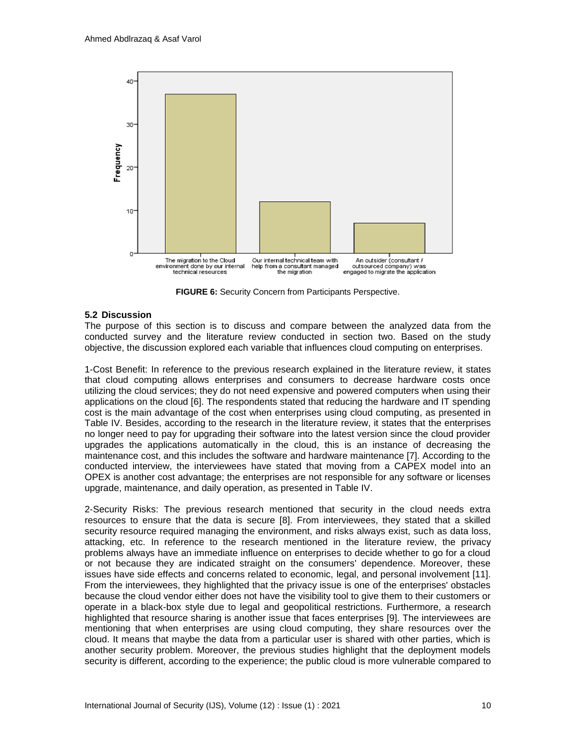

**FIGURE 6:** Security Concern from Participants Perspective.

## **5.2 Discussion**

The purpose of this section is to discuss and compare between the analyzed data from the conducted survey and the literature review conducted in section two. Based on the study objective, the discussion explored each variable that influences cloud computing on enterprises.

1-Cost Benefit: In reference to the previous research explained in the literature review, it states that cloud computing allows enterprises and consumers to decrease hardware costs once utilizing the cloud services; they do not need expensive and powered computers when using their applications on the cloud [6]. The respondents stated that reducing the hardware and IT spending cost is the main advantage of the cost when enterprises using cloud computing, as presented in Table IV. Besides, according to the research in the literature review, it states that the enterprises no longer need to pay for upgrading their software into the latest version since the cloud provider upgrades the applications automatically in the cloud, this is an instance of decreasing the maintenance cost, and this includes the software and hardware maintenance [7]. According to the conducted interview, the interviewees have stated that moving from a CAPEX model into an OPEX is another cost advantage; the enterprises are not responsible for any software or licenses upgrade, maintenance, and daily operation, as presented in Table IV.

2-Security Risks: The previous research mentioned that security in the cloud needs extra resources to ensure that the data is secure [8]. From interviewees, they stated that a skilled security resource required managing the environment, and risks always exist, such as data loss, attacking, etc. In reference to the research mentioned in the literature review, the privacy problems always have an immediate influence on enterprises to decide whether to go for a cloud or not because they are indicated straight on the consumers' dependence. Moreover, these issues have side effects and concerns related to economic, legal, and personal involvement [11]. From the interviewees, they highlighted that the privacy issue is one of the enterprises' obstacles because the cloud vendor either does not have the visibility tool to give them to their customers or operate in a black-box style due to legal and geopolitical restrictions. Furthermore, a research highlighted that resource sharing is another issue that faces enterprises [9]. The interviewees are mentioning that when enterprises are using cloud computing, they share resources over the cloud. It means that maybe the data from a particular user is shared with other parties, which is another security problem. Moreover, the previous studies highlight that the deployment models security is different, according to the experience; the public cloud is more vulnerable compared to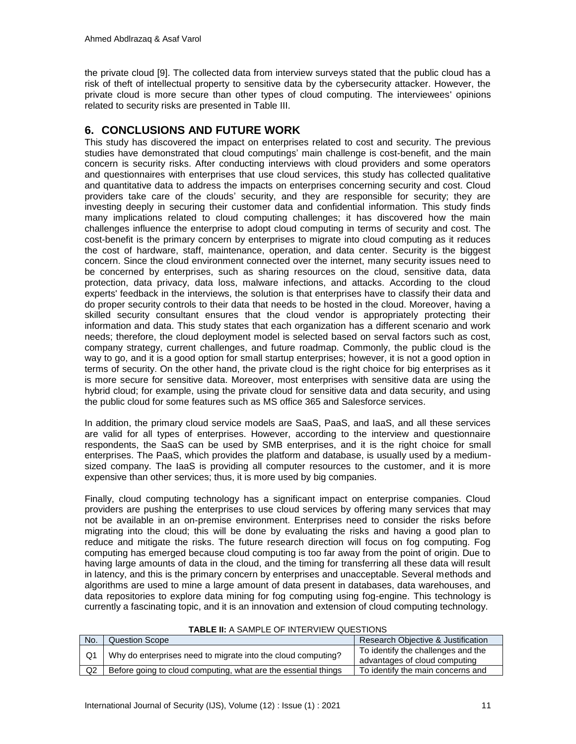the private cloud [9]. The collected data from interview surveys stated that the public cloud has a risk of theft of intellectual property to sensitive data by the cybersecurity attacker. However, the private cloud is more secure than other types of cloud computing. The interviewees' opinions related to security risks are presented in Table III.

## **6. CONCLUSIONS AND FUTURE WORK**

This study has discovered the impact on enterprises related to cost and security. The previous studies have demonstrated that cloud computings' main challenge is cost-benefit, and the main concern is security risks. After conducting interviews with cloud providers and some operators and questionnaires with enterprises that use cloud services, this study has collected qualitative and quantitative data to address the impacts on enterprises concerning security and cost. Cloud providers take care of the clouds' security, and they are responsible for security; they are investing deeply in securing their customer data and confidential information. This study finds many implications related to cloud computing challenges; it has discovered how the main challenges influence the enterprise to adopt cloud computing in terms of security and cost. The cost-benefit is the primary concern by enterprises to migrate into cloud computing as it reduces the cost of hardware, staff, maintenance, operation, and data center. Security is the biggest concern. Since the cloud environment connected over the internet, many security issues need to be concerned by enterprises, such as sharing resources on the cloud, sensitive data, data protection, data privacy, data loss, malware infections, and attacks. According to the cloud experts' feedback in the interviews, the solution is that enterprises have to classify their data and do proper security controls to their data that needs to be hosted in the cloud. Moreover, having a skilled security consultant ensures that the cloud vendor is appropriately protecting their information and data. This study states that each organization has a different scenario and work needs; therefore, the cloud deployment model is selected based on serval factors such as cost, company strategy, current challenges, and future roadmap. Commonly, the public cloud is the way to go, and it is a good option for small startup enterprises; however, it is not a good option in terms of security. On the other hand, the private cloud is the right choice for big enterprises as it is more secure for sensitive data. Moreover, most enterprises with sensitive data are using the hybrid cloud; for example, using the private cloud for sensitive data and data security, and using the public cloud for some features such as MS office 365 and Salesforce services.

In addition, the primary cloud service models are SaaS, PaaS, and IaaS, and all these services are valid for all types of enterprises. However, according to the interview and questionnaire respondents, the SaaS can be used by SMB enterprises, and it is the right choice for small enterprises. The PaaS, which provides the platform and database, is usually used by a mediumsized company. The IaaS is providing all computer resources to the customer, and it is more expensive than other services; thus, it is more used by big companies.

Finally, cloud computing technology has a significant impact on enterprise companies. Cloud providers are pushing the enterprises to use cloud services by offering many services that may not be available in an on-premise environment. Enterprises need to consider the risks before migrating into the cloud; this will be done by evaluating the risks and having a good plan to reduce and mitigate the risks. The future research direction will focus on fog computing. Fog computing has emerged because cloud computing is too far away from the point of origin. Due to having large amounts of data in the cloud, and the timing for transferring all these data will result in latency, and this is the primary concern by enterprises and unacceptable. Several methods and algorithms are used to mine a large amount of data present in databases, data warehouses, and data repositories to explore data mining for fog computing using fog-engine. This technology is currently a fascinating topic, and it is an innovation and extension of cloud computing technology.

| TABLE II. A JAMI LE UL INTERVIEW QUEJTIONJ |                                                                |                                                                     |  |  |
|--------------------------------------------|----------------------------------------------------------------|---------------------------------------------------------------------|--|--|
| No.                                        | <b>Question Scope</b>                                          | Research Objective & Justification                                  |  |  |
|                                            | Why do enterprises need to migrate into the cloud computing?   | To identify the challenges and the<br>advantages of cloud computing |  |  |
| Q2                                         | Before going to cloud computing, what are the essential things | To identify the main concerns and                                   |  |  |

#### **TABLE II:** A SAMPLE OF INTERVIEW QUESTIONS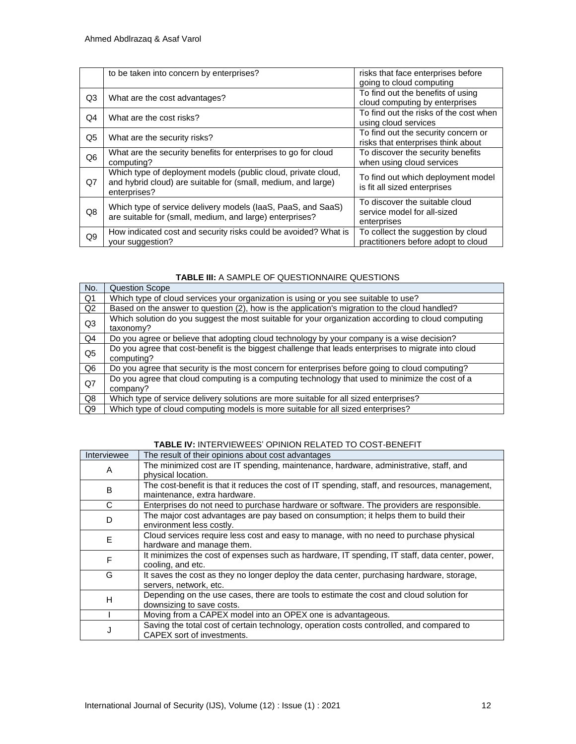|                | to be taken into concern by enterprises?                                                                                                       | risks that face enterprises before<br>going to cloud computing               |
|----------------|------------------------------------------------------------------------------------------------------------------------------------------------|------------------------------------------------------------------------------|
| Q3             | What are the cost advantages?                                                                                                                  | To find out the benefits of using<br>cloud computing by enterprises          |
| Q <sub>4</sub> | What are the cost risks?                                                                                                                       | To find out the risks of the cost when<br>using cloud services               |
| Q5             | What are the security risks?                                                                                                                   | To find out the security concern or<br>risks that enterprises think about    |
| Q <sub>6</sub> | What are the security benefits for enterprises to go for cloud<br>computing?                                                                   | To discover the security benefits<br>when using cloud services               |
| Q7             | Which type of deployment models (public cloud, private cloud,<br>and hybrid cloud) are suitable for (small, medium, and large)<br>enterprises? | To find out which deployment model<br>is fit all sized enterprises           |
| Q8             | Which type of service delivery models (laaS, PaaS, and SaaS)<br>are suitable for (small, medium, and large) enterprises?                       | To discover the suitable cloud<br>service model for all-sized<br>enterprises |
| Q9             | How indicated cost and security risks could be avoided? What is<br>your suggestion?                                                            | To collect the suggestion by cloud<br>practitioners before adopt to cloud    |

## **TABLE III:** A SAMPLE OF QUESTIONNAIRE QUESTIONS

| No.            | <b>Question Scope</b>                                                                                              |  |
|----------------|--------------------------------------------------------------------------------------------------------------------|--|
| Q1             | Which type of cloud services your organization is using or you see suitable to use?                                |  |
| Q2             | Based on the answer to question (2), how is the application's migration to the cloud handled?                      |  |
| Q3             | Which solution do you suggest the most suitable for your organization according to cloud computing<br>taxonomy?    |  |
| Q <sub>4</sub> | Do you agree or believe that adopting cloud technology by your company is a wise decision?                         |  |
| Q <sub>5</sub> | Do you agree that cost-benefit is the biggest challenge that leads enterprises to migrate into cloud<br>computing? |  |
| Q <sub>6</sub> | Do you agree that security is the most concern for enterprises before going to cloud computing?                    |  |
| Q7             | Do you agree that cloud computing is a computing technology that used to minimize the cost of a<br>company?        |  |
| Q8             | Which type of service delivery solutions are more suitable for all sized enterprises?                              |  |
| Q9             | Which type of cloud computing models is more suitable for all sized enterprises?                                   |  |

## **TABLE IV:** INTERVIEWEES' OPINION RELATED TO COST-BENEFIT

| Interviewee | The result of their opinions about cost advantages                                             |  |
|-------------|------------------------------------------------------------------------------------------------|--|
| A           | The minimized cost are IT spending, maintenance, hardware, administrative, staff, and          |  |
|             | physical location.                                                                             |  |
| B           | The cost-benefit is that it reduces the cost of IT spending, staff, and resources, management, |  |
|             | maintenance, extra hardware.                                                                   |  |
| C           | Enterprises do not need to purchase hardware or software. The providers are responsible.       |  |
| D           | The major cost advantages are pay based on consumption; it helps them to build their           |  |
|             | environment less costly.                                                                       |  |
| E           | Cloud services require less cost and easy to manage, with no need to purchase physical         |  |
|             | hardware and manage them.                                                                      |  |
| F           | It minimizes the cost of expenses such as hardware, IT spending, IT staff, data center, power, |  |
|             | cooling, and etc.                                                                              |  |
| G           | It saves the cost as they no longer deploy the data center, purchasing hardware, storage,      |  |
|             | servers, network, etc.                                                                         |  |
| H           | Depending on the use cases, there are tools to estimate the cost and cloud solution for        |  |
|             | downsizing to save costs.                                                                      |  |
|             | Moving from a CAPEX model into an OPEX one is advantageous.                                    |  |
|             | Saving the total cost of certain technology, operation costs controlled, and compared to       |  |
| J           | CAPEX sort of investments.                                                                     |  |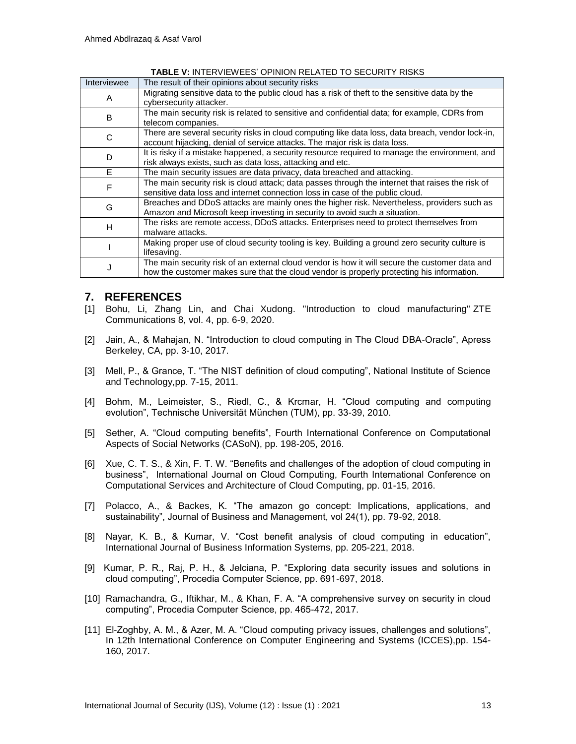| Interviewee | The result of their opinions about security risks                                                |
|-------------|--------------------------------------------------------------------------------------------------|
| A           | Migrating sensitive data to the public cloud has a risk of theft to the sensitive data by the    |
|             | cybersecurity attacker.                                                                          |
| B           | The main security risk is related to sensitive and confidential data; for example, CDRs from     |
|             | telecom companies.                                                                               |
| C           | There are several security risks in cloud computing like data loss, data breach, vendor lock-in, |
|             | account hijacking, denial of service attacks. The major risk is data loss.                       |
| D           | It is risky if a mistake happened, a security resource required to manage the environment, and   |
|             | risk always exists, such as data loss, attacking and etc.                                        |
| E           | The main security issues are data privacy, data breached and attacking.                          |
| F           | The main security risk is cloud attack; data passes through the internet that raises the risk of |
|             | sensitive data loss and internet connection loss in case of the public cloud.                    |
|             | Breaches and DDoS attacks are mainly ones the higher risk. Nevertheless, providers such as       |
| G           | Amazon and Microsoft keep investing in security to avoid such a situation.                       |
|             | The risks are remote access, DDoS attacks. Enterprises need to protect themselves from           |
| н           | malware attacks.                                                                                 |
|             | Making proper use of cloud security tooling is key. Building a ground zero security culture is   |
|             | lifesaving.                                                                                      |
|             | The main security risk of an external cloud vendor is how it will secure the customer data and   |
|             | how the customer makes sure that the cloud vendor is properly protecting his information.        |

**TABLE V:** INTERVIEWEES' OPINION RELATED TO SECURITY RISKS

## **7. REFERENCES**

- [1] Bohu, Li, Zhang Lin, and Chai Xudong. "Introduction to cloud manufacturing" ZTE Communications 8, vol. 4, pp. 6-9, 2020.
- [2] Jain, A., & Mahajan, N. "Introduction to cloud computing in The Cloud DBA-Oracle", Apress Berkeley, CA, pp. 3-10, 2017.
- [3] Mell, P., & Grance, T. "The NIST definition of cloud computing", National Institute of Science and Technology,pp. 7-15, 2011.
- [4] Bohm, M., Leimeister, S., Riedl, C., & Krcmar, H. "Cloud computing and computing evolution", Technische Universität München (TUM), pp. 33-39, 2010.
- [5] Sether, A. "Cloud computing benefits", Fourth International Conference on Computational Aspects of Social Networks (CASoN), pp. 198-205, 2016.
- [6] Xue, C. T. S., & Xin, F. T. W. "Benefits and challenges of the adoption of cloud computing in business", International Journal on Cloud Computing, Fourth International Conference on Computational Services and Architecture of Cloud Computing, pp. 01-15, 2016.
- [7] Polacco, A., & Backes, K. "The amazon go concept: Implications, applications, and sustainability", Journal of Business and Management, vol 24(1), pp. 79-92, 2018.
- [8] Nayar, K. B., & Kumar, V. "Cost benefit analysis of cloud computing in education", International Journal of Business Information Systems, pp. 205-221, 2018.
- [9] Kumar, P. R., Raj, P. H., & Jelciana, P. "Exploring data security issues and solutions in cloud computing", Procedia Computer Science, pp. 691-697, 2018.
- [10] Ramachandra, G., Iftikhar, M., & Khan, F. A. "A comprehensive survey on security in cloud computing", Procedia Computer Science, pp. 465-472, 2017.
- [11] El-Zoghby, A. M., & Azer, M. A. "Cloud computing privacy issues, challenges and solutions", In 12th International Conference on Computer Engineering and Systems (ICCES),pp. 154- 160, 2017.